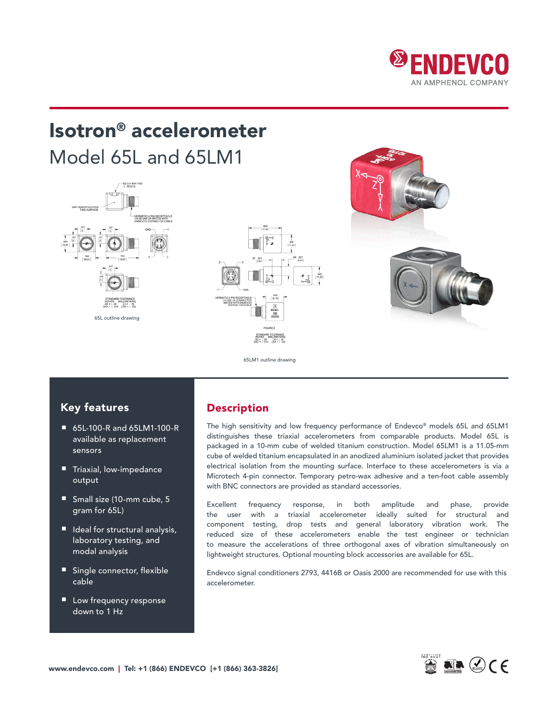

# Isotron® accelerometer Model 65L and 65LM1





65LM1 outline drawing

### Key features

- 65L-100-R and 65LM1-100-R available as replacement sensors
- Triaxial, low-impedance output
- Small size (10-mm cube, 5 gram for 65L)
- Ideal for structural analysis, laboratory testing, and modal analysis
- Single connector, flexible cable
- Low frequency response down to 1 Hz

### Description

The high sensitivity and low frequency performance of Endevco® models 65L and 65LM1 distinguishes these triaxial accelerometers from comparable products. Model 65L is packaged in a 10-mm cube of welded titanium construction. Model 65LM1 is a 11.05-mm cube of welded titanium encapsulated in an anodized aluminium isolated jacket that provides electrical isolation from the mounting surface. Interface to these accelerometers is via a Microtech 4-pin connector. Temporary petro-wax adhesive and a ten-foot cable assembly with BNC connectors are provided as standard accessories.

Excellent frequency response, in both amplitude and phase, provide the user with a triaxial accelerometer ideally suited for structural and component testing, drop tests and general laboratory vibration work. The reduced size of these accelerometers enable the test engineer or technician to measure the accelerations of three orthogonal axes of vibration simultaneously on lightweight structures. Optional mounting block accessories are available for 65L.

Endevco signal conditioners 2793, 4416B or Oasis 2000 are recommended for use with this accelerometer.

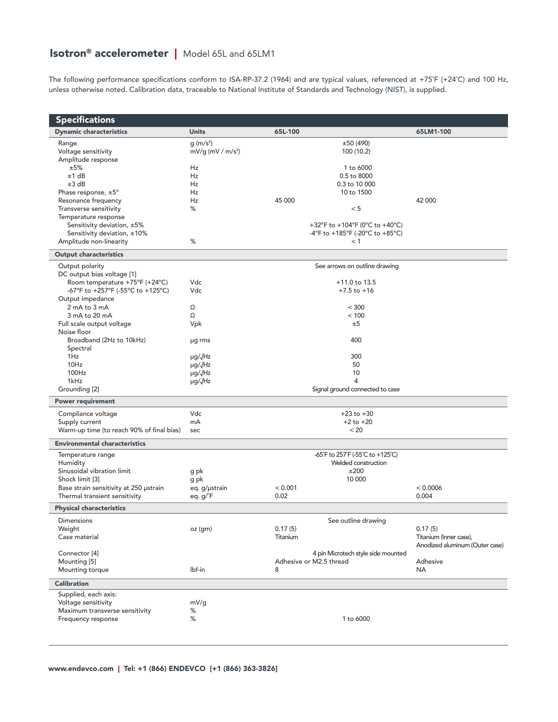## **Isotron<sup>®</sup> accelerometer |** Model 65L and 65LM1

The following performance specifications conform to ISA-RP-37.2 (1964) and are typical values, referenced at +75˚F (+24˚C) and 100 Hz, unless otherwise noted. Calibration data, traceable to National Institute of Standards and Technology (NIST), is supplied.

| <b>Specifications</b>                                     |                                 |                                 |                                        |                                |  |  |  |
|-----------------------------------------------------------|---------------------------------|---------------------------------|----------------------------------------|--------------------------------|--|--|--|
| <b>Dynamic characteristics</b>                            | <b>Units</b>                    | 65L-100                         |                                        | 65LM1-100                      |  |  |  |
| Range                                                     | g (m/s <sup>2</sup> )           |                                 | ±50(490)                               |                                |  |  |  |
| Voltage sensitivity                                       | $mV/g$ (mV / m/s <sup>2</sup> ) |                                 | 100 (10.2)                             |                                |  |  |  |
| Amplitude response                                        |                                 |                                 |                                        |                                |  |  |  |
| ±5%                                                       | Hz                              |                                 | 1 to 6000                              |                                |  |  |  |
| ±1 dB                                                     | Hz                              |                                 | 0.5 to 8000                            |                                |  |  |  |
| ±3 dB                                                     | Hz                              |                                 | 0.3 to 10 000                          |                                |  |  |  |
| Phase response, $\pm 5^{\circ}$                           | Hz                              |                                 | 10 to 1500                             |                                |  |  |  |
| Resonance frequency                                       | Hz                              | 45 000                          |                                        | 42 000                         |  |  |  |
| Transverse sensitivity                                    | $\%$                            |                                 | < 5                                    |                                |  |  |  |
| Temperature response                                      |                                 |                                 |                                        |                                |  |  |  |
| Sensitivity deviation, ±5%<br>Sensitivity deviation, ±10% |                                 |                                 | +32°F to +104°F (0°C to +40°C)         |                                |  |  |  |
| Amplitude non-linearity                                   | %                               |                                 | -4°F to +185°F (-20°C to +85°C)<br>< 1 |                                |  |  |  |
|                                                           |                                 |                                 |                                        |                                |  |  |  |
| <b>Output characteristics</b>                             |                                 |                                 |                                        |                                |  |  |  |
| Output polarity                                           |                                 | See arrows on outline drawing   |                                        |                                |  |  |  |
| DC output bias voltage [1]                                |                                 |                                 |                                        |                                |  |  |  |
| Room temperature +75°F (+24°C)                            | Vdc                             |                                 | $+11.0$ to 13.5<br>$+7.5$ to $+16$     |                                |  |  |  |
| -67°F to +257°F (-55°C to +125°C)<br>Output impedance     | Vdc                             |                                 |                                        |                                |  |  |  |
| 2 mA to 3 mA                                              | Ω                               |                                 | < 300                                  |                                |  |  |  |
| 3 mA to 20 mA                                             | Ω                               |                                 | < 100                                  |                                |  |  |  |
| Full scale output voltage                                 | Vpk                             |                                 | ±5                                     |                                |  |  |  |
| Noise floor                                               |                                 |                                 |                                        |                                |  |  |  |
| Broadband (2Hz to 10kHz)                                  | µg rms                          |                                 | 400                                    |                                |  |  |  |
| Spectral                                                  |                                 |                                 |                                        |                                |  |  |  |
| 1Hz                                                       | µg/√Hz                          |                                 | 300                                    |                                |  |  |  |
| 10Hz                                                      | µg/JHz                          |                                 | 50                                     |                                |  |  |  |
| 100Hz                                                     | µg/JHz                          |                                 | 10                                     |                                |  |  |  |
| 1kHz                                                      | µg/√Hz                          | 4                               |                                        |                                |  |  |  |
| Grounding [2]                                             |                                 | Signal ground connected to case |                                        |                                |  |  |  |
| <b>Power requirement</b>                                  |                                 |                                 |                                        |                                |  |  |  |
| Compliance voltage                                        | Vdc                             |                                 | $+23$ to $+30$                         |                                |  |  |  |
| Supply current                                            | mA                              | $+2$ to $+20$                   |                                        |                                |  |  |  |
| Warm-up time (to reach 90% of final bias)                 | sec                             |                                 | < 20                                   |                                |  |  |  |
| <b>Environmental characteristics</b>                      |                                 |                                 |                                        |                                |  |  |  |
| Temperature range                                         |                                 |                                 | -65°F to 257°F (-55°C to +125°C)       |                                |  |  |  |
| Humidity                                                  |                                 | Welded construction             |                                        |                                |  |  |  |
| Sinusoidal vibration limit                                | g pk                            | ±200                            |                                        |                                |  |  |  |
| Shock limit [3]                                           | g pk                            |                                 | 10 000                                 |                                |  |  |  |
| Base strain sensitivity at 250 ustrain                    | eq. g/µstrain                   | < 0.001                         |                                        | < 0.0006                       |  |  |  |
| Thermal transient sensitivity                             | eq. g/°F                        | 0.02                            |                                        | 0.004                          |  |  |  |
| <b>Physical characteristics</b>                           |                                 |                                 |                                        |                                |  |  |  |
| Dimensions                                                |                                 |                                 | See outline drawing                    |                                |  |  |  |
| Weight                                                    | oz (gm)                         | 0.17(5)                         |                                        | 0.17(5)                        |  |  |  |
| Case material                                             |                                 | Titanium                        |                                        | Titanium (Inner case),         |  |  |  |
|                                                           |                                 |                                 |                                        | Anodized aluminum (Outer case) |  |  |  |
| Connector <sup>[4]</sup>                                  |                                 |                                 | 4 pin Microtech style side mounted     |                                |  |  |  |
| Mounting [5]                                              |                                 |                                 | Adhesive or M2.5 thread                | Adhesive                       |  |  |  |
| Mounting torque                                           | lbf-in                          | 8                               |                                        | NA                             |  |  |  |
| <b>Calibration</b>                                        |                                 |                                 |                                        |                                |  |  |  |
| Supplied, each axis:                                      |                                 |                                 |                                        |                                |  |  |  |
| Voltage sensitivity                                       | mV/g                            |                                 |                                        |                                |  |  |  |
| Maximum transverse sensitivity                            | %                               |                                 |                                        |                                |  |  |  |
| Frequency response                                        | %                               |                                 | 1 to 6000                              |                                |  |  |  |